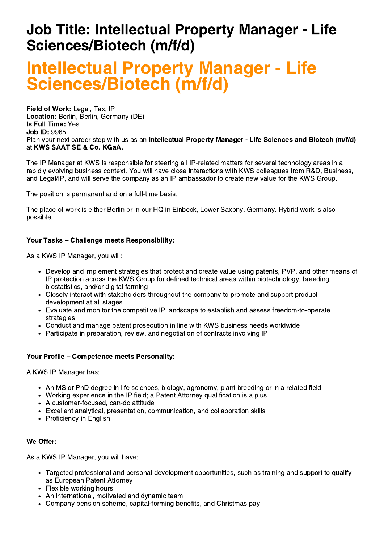## Job Title: Intellectual Property Manager - Life Sciences/Biotech (m/f/d)

# Intellectual Property Manager - Life Sciences/Biotech (m/f/d)

Field of Work: Legal, Tax, IP Location: Berlin, Berlin, Germany (DE) Is Full Time: Yes Job ID: 9965 Plan your next career step with us as an Intellectual Property Manager - Life Sciences and Biotech (m/f/d) at KWS SAAT SE & Co. KGaA.

The IP Manager at KWS is responsible for steering all IP-related matters for several technology areas in a rapidly evolving business context. You will have close interactions with KWS colleagues from R&D, Business, and Legal/IP, and will serve the company as an IP ambassador to create new value for the KWS Group.

The position is permanent and on a full-time basis.

The place of work is either Berlin or in our HQ in Einbeck, Lower Saxony, Germany. Hybrid work is also possible.

## Your Tasks – Challenge meets Responsibility:

As a KWS IP Manager, you will:

- Develop and implement strategies that protect and create value using patents, PVP, and other means of IP protection across the KWS Group for defined technical areas within biotechnology, breeding, biostatistics, and/or digital farming
- Closely interact with stakeholders throughout the company to promote and support product development at all stages
- Evaluate and monitor the competitive IP landscape to establish and assess freedom-to-operate strategies
- Conduct and manage patent prosecution in line with KWS business needs worldwide
- Participate in preparation, review, and negotiation of contracts involving IP

## Your Profile – Competence meets Personality:

#### A KWS IP Manager has:

- An MS or PhD degree in life sciences, biology, agronomy, plant breeding or in a related field
- Working experience in the IP field; a Patent Attorney qualification is a plus
- A customer-focused, can-do attitude
- Excellent analytical, presentation, communication, and collaboration skills
- Proficiency in English

## We Offer:

As a KWS IP Manager, you will have:

- Targeted professional and personal development opportunities, such as training and support to qualify as European Patent Attorney
- Flexible working hours
- An international, motivated and dynamic team
- Company pension scheme, capital-forming benefits, and Christmas pay